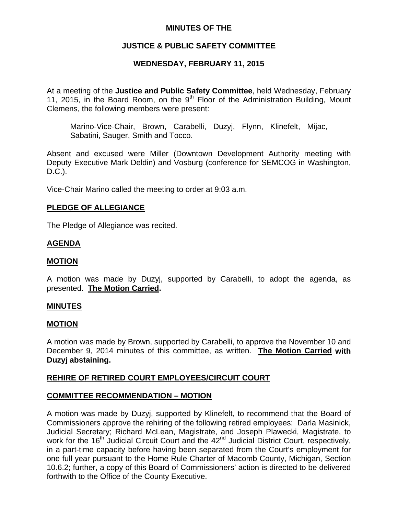### **MINUTES OF THE**

# **JUSTICE & PUBLIC SAFETY COMMITTEE**

# **WEDNESDAY, FEBRUARY 11, 2015**

At a meeting of the **Justice and Public Safety Committee**, held Wednesday, February 11, 2015, in the Board Room, on the 9<sup>th</sup> Floor of the Administration Building, Mount Clemens, the following members were present:

Marino-Vice-Chair, Brown, Carabelli, Duzyj, Flynn, Klinefelt, Mijac, Sabatini, Sauger, Smith and Tocco.

Absent and excused were Miller (Downtown Development Authority meeting with Deputy Executive Mark Deldin) and Vosburg (conference for SEMCOG in Washington, D.C.).

Vice-Chair Marino called the meeting to order at 9:03 a.m.

#### **PLEDGE OF ALLEGIANCE**

The Pledge of Allegiance was recited.

### **AGENDA**

#### **MOTION**

A motion was made by Duzyj, supported by Carabelli, to adopt the agenda, as presented. **The Motion Carried.** 

#### **MINUTES**

#### **MOTION**

A motion was made by Brown, supported by Carabelli, to approve the November 10 and December 9, 2014 minutes of this committee, as written. **The Motion Carried with Duzyj abstaining.** 

### **REHIRE OF RETIRED COURT EMPLOYEES/CIRCUIT COURT**

### **COMMITTEE RECOMMENDATION – MOTION**

A motion was made by Duzyj, supported by Klinefelt, to recommend that the Board of Commissioners approve the rehiring of the following retired employees: Darla Masinick, Judicial Secretary; Richard McLean, Magistrate, and Joseph Plawecki, Magistrate, to work for the 16<sup>th</sup> Judicial Circuit Court and the 42<sup>nd</sup> Judicial District Court, respectively, in a part-time capacity before having been separated from the Court's employment for one full year pursuant to the Home Rule Charter of Macomb County, Michigan, Section 10.6.2; further, a copy of this Board of Commissioners' action is directed to be delivered forthwith to the Office of the County Executive.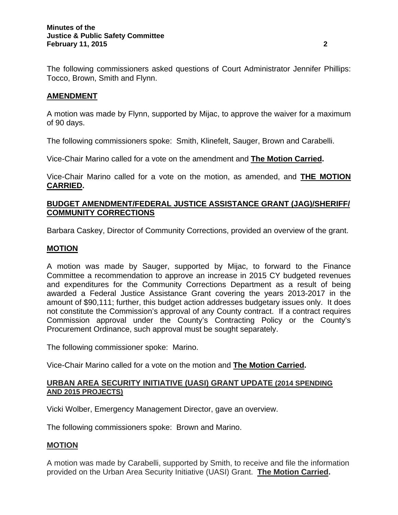The following commissioners asked questions of Court Administrator Jennifer Phillips: Tocco, Brown, Smith and Flynn.

## **AMENDMENT**

A motion was made by Flynn, supported by Mijac, to approve the waiver for a maximum of 90 days.

The following commissioners spoke: Smith, Klinefelt, Sauger, Brown and Carabelli.

Vice-Chair Marino called for a vote on the amendment and **The Motion Carried.** 

Vice-Chair Marino called for a vote on the motion, as amended, and **THE MOTION CARRIED.** 

## **BUDGET AMENDMENT/FEDERAL JUSTICE ASSISTANCE GRANT (JAG)/SHERIFF/ COMMUNITY CORRECTIONS**

Barbara Caskey, Director of Community Corrections, provided an overview of the grant.

### **MOTION**

A motion was made by Sauger, supported by Mijac, to forward to the Finance Committee a recommendation to approve an increase in 2015 CY budgeted revenues and expenditures for the Community Corrections Department as a result of being awarded a Federal Justice Assistance Grant covering the years 2013-2017 in the amount of \$90,111; further, this budget action addresses budgetary issues only. It does not constitute the Commission's approval of any County contract. If a contract requires Commission approval under the County's Contracting Policy or the County's Procurement Ordinance, such approval must be sought separately.

The following commissioner spoke: Marino.

Vice-Chair Marino called for a vote on the motion and **The Motion Carried.** 

### **URBAN AREA SECURITY INITIATIVE (UASI) GRANT UPDATE (2014 SPENDING AND 2015 PROJECTS)**

Vicki Wolber, Emergency Management Director, gave an overview.

The following commissioners spoke: Brown and Marino.

### **MOTION**

A motion was made by Carabelli, supported by Smith, to receive and file the information provided on the Urban Area Security Initiative (UASI) Grant. **The Motion Carried.**